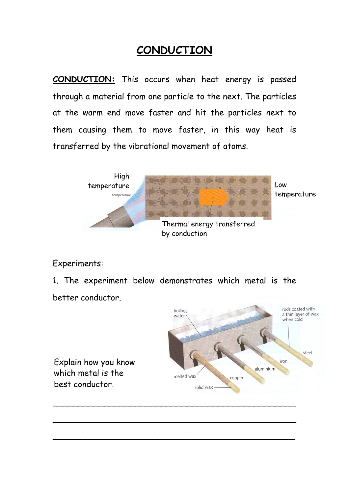### **CONDUCTION**

**CONDUCTION:** This occurs when heat energy is passed through a material from one particle to the next. The particles at the warm end move faster and hit the particles next to them causing them to move faster, in this way heat is transferred by the vibrational movement of atoms.



Experiments:

1. The experiment below demonstrates which metal is the

\_\_\_\_\_\_\_\_\_\_\_\_\_\_\_\_\_\_\_\_\_\_\_\_\_\_\_\_\_\_\_\_\_\_\_\_\_\_\_\_\_\_\_\_\_\_\_

 $\overline{a}$  , and the set of the set of the set of the set of the set of the set of the set of the set of the set of the set of the set of the set of the set of the set of the set of the set of the set of the set of the set

better conductor.



Explain how you know which metal is the best conductor.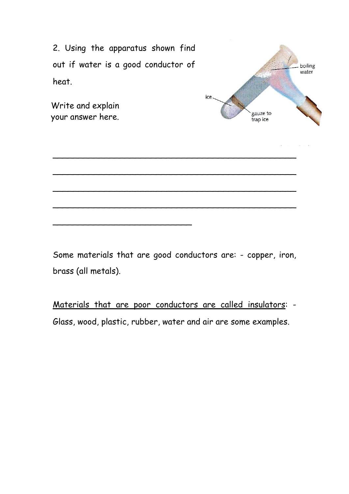2. Using the apparatus shown find out if water is a good conductor of heat.

\_\_\_\_\_\_\_\_\_\_\_\_\_\_\_\_\_\_\_\_\_\_\_\_\_\_\_

Write and explain your answer here.



Some materials that are good conductors are: - copper, iron, brass (all metals).

\_\_\_\_\_\_\_\_\_\_\_\_\_\_\_\_\_\_\_\_\_\_\_\_\_\_\_\_\_\_\_\_\_\_\_\_\_\_\_\_\_\_\_\_\_\_\_

\_\_\_\_\_\_\_\_\_\_\_\_\_\_\_\_\_\_\_\_\_\_\_\_\_\_\_\_\_\_\_\_\_\_\_\_\_\_\_\_\_\_\_\_\_\_\_

\_\_\_\_\_\_\_\_\_\_\_\_\_\_\_\_\_\_\_\_\_\_\_\_\_\_\_\_\_\_\_\_\_\_\_\_\_\_\_\_\_\_\_\_\_\_\_

\_\_\_\_\_\_\_\_\_\_\_\_\_\_\_\_\_\_\_\_\_\_\_\_\_\_\_\_\_\_\_\_\_\_\_\_\_\_\_\_\_\_\_\_\_\_\_

Materials that are poor conductors are called insulators: - Glass, wood, plastic, rubber, water and air are some examples.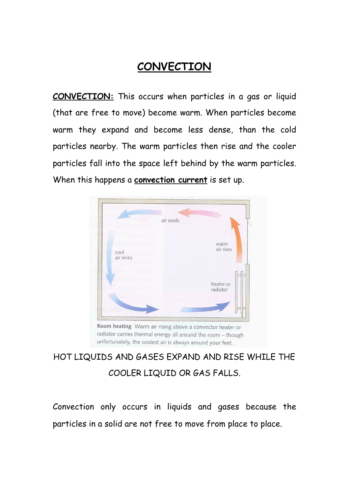## **CONVECTION**

**CONVECTION:** This occurs when particles in a gas or liquid (that are free to move) become warm. When particles become warm they expand and become less dense, than the cold particles nearby. The warm particles then rise and the cooler particles fall into the space left behind by the warm particles. When this happens a **convection current** is set up.



radiator carries thermal energy all around the room - though unfortunately, the coolest air is always around your feet.

# HOT LIQUIDS AND GASES EXPAND AND RISE WHILE THE COOLER LIQUID OR GAS FALLS.

Convection only occurs in liquids and gases because the particles in a solid are not free to move from place to place.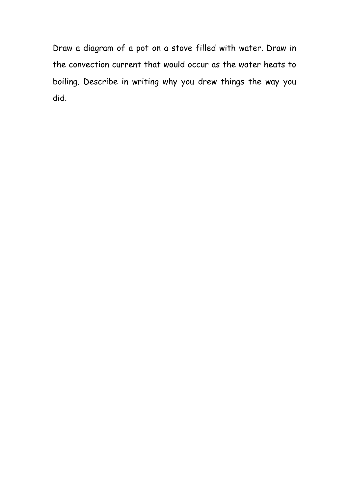Draw a diagram of a pot on a stove filled with water. Draw in the convection current that would occur as the water heats to boiling. Describe in writing why you drew things the way you did.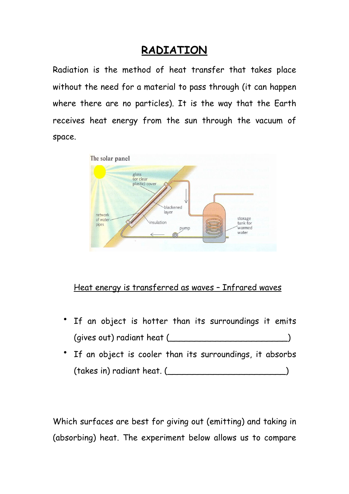#### **RADIATION**

Radiation is the method of heat transfer that takes place without the need for a material to pass through (it can happen where there are no particles). It is the way that the Earth receives heat energy from the sun through the vacuum of space.



#### Heat energy is transferred as waves – Infrared waves

- If an object is hotter than its surroundings it emits (gives out) radiant heat  $($
- If an object is cooler than its surroundings, it absorbs (takes in) radiant heat. (\_\_\_\_\_\_\_\_\_\_\_\_\_\_\_\_\_\_\_\_\_\_\_)

Which surfaces are best for giving out (emitting) and taking in (absorbing) heat. The experiment below allows us to compare